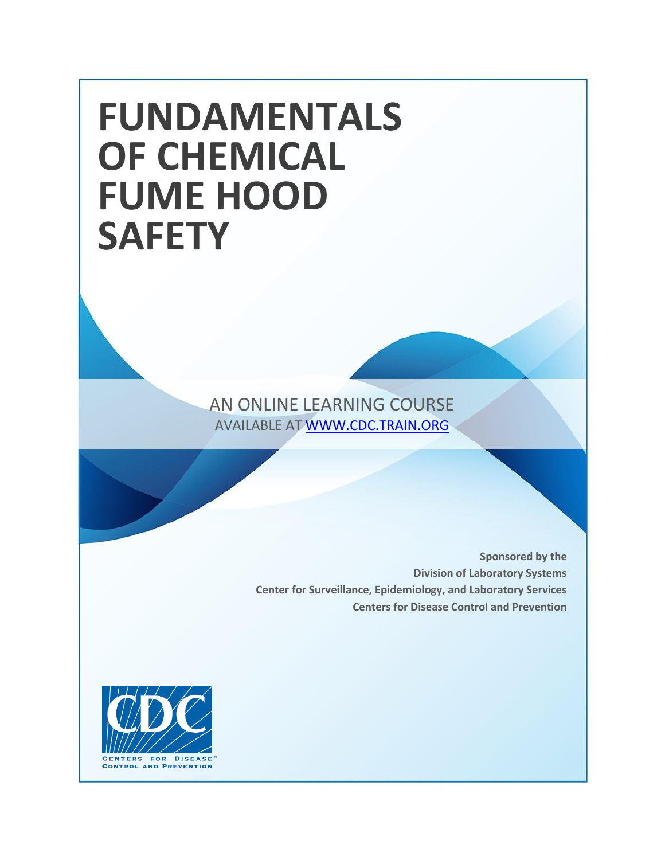# **FUNDAMENTALS OF CHEMICAL FUME HOOD SAFETY**

AN ONLINE LEARNING COURSE AVAILABLE AT [WWW.CDC.TRAIN.ORG](http://www.cdc.train.org/)

> **Sponsored by the Division of Laboratory Systems Center for Surveillance, Epidemiology, and Laboratory Services Centers for Disease Control and Prevention**